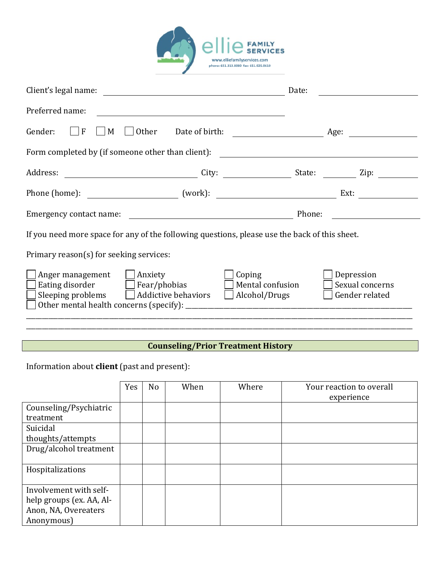

| Client's legal name:                                                                                                                        | <u> 1980 - Johann Barn, mars ann an t-Amhain Aonaich an t-Aonaich an t-Aonaich ann an t-Aonaich ann an t-Aonaich</u> | Date:                                                                                                                |                                                 |  |  |
|---------------------------------------------------------------------------------------------------------------------------------------------|----------------------------------------------------------------------------------------------------------------------|----------------------------------------------------------------------------------------------------------------------|-------------------------------------------------|--|--|
| Preferred name:                                                                                                                             |                                                                                                                      |                                                                                                                      |                                                 |  |  |
| l F<br>Gender:<br>M                                                                                                                         | Other                                                                                                                | Date of birth: <u>_________________________</u> Age:                                                                 |                                                 |  |  |
| Form completed by (if someone other than client):                                                                                           |                                                                                                                      | <u> 1980 - Jan Samuel Barbara, martin di sebagai personal di sebagai personal di sebagai personal di sebagai per</u> |                                                 |  |  |
|                                                                                                                                             |                                                                                                                      |                                                                                                                      |                                                 |  |  |
|                                                                                                                                             |                                                                                                                      |                                                                                                                      | Ext:                                            |  |  |
| Emergency contact name:                                                                                                                     | <u> 1980 - Johann Barbara, martin amerikan basar da</u>                                                              | Phone:                                                                                                               |                                                 |  |  |
| If you need more space for any of the following questions, please use the back of this sheet.                                               |                                                                                                                      |                                                                                                                      |                                                 |  |  |
| Primary reason(s) for seeking services:                                                                                                     |                                                                                                                      |                                                                                                                      |                                                 |  |  |
| $\Box$ Anger management $\Box$ Anxiety<br>$\Box$ Eating disorder $\Box$ Fear/phobias<br>$\Box$ Sleeping problems $\Box$ Addictive behaviors |                                                                                                                      | Coping<br>Mental confusion<br>$\Box$ Alcohol/Drugs                                                                   | Depression<br>Sexual concerns<br>Gender related |  |  |
|                                                                                                                                             |                                                                                                                      |                                                                                                                      |                                                 |  |  |

# **Counseling/Prior Treatment History**

Information about **client** (past and present):

|                          | Yes | N <sub>o</sub> | When | Where | Your reaction to overall<br>experience |
|--------------------------|-----|----------------|------|-------|----------------------------------------|
| Counseling/Psychiatric   |     |                |      |       |                                        |
| treatment                |     |                |      |       |                                        |
| Suicidal                 |     |                |      |       |                                        |
| thoughts/attempts        |     |                |      |       |                                        |
| Drug/alcohol treatment   |     |                |      |       |                                        |
| Hospitalizations         |     |                |      |       |                                        |
| Involvement with self-   |     |                |      |       |                                        |
| help groups (ex. AA, Al- |     |                |      |       |                                        |
| Anon, NA, Overeaters     |     |                |      |       |                                        |
| Anonymous)               |     |                |      |       |                                        |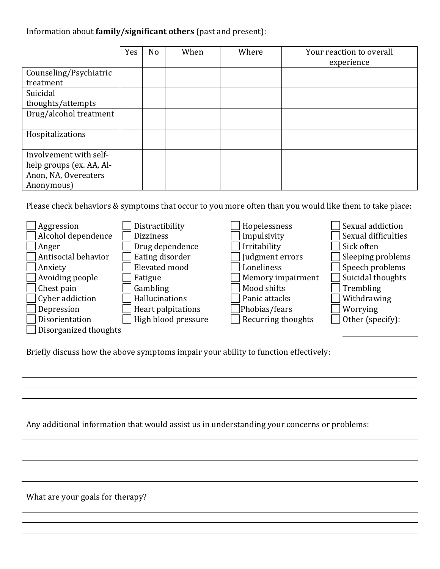# Information about **family/significant others** (past and present):

|                          | Yes | N <sub>o</sub> | When | Where | Your reaction to overall<br>experience |
|--------------------------|-----|----------------|------|-------|----------------------------------------|
| Counseling/Psychiatric   |     |                |      |       |                                        |
| treatment                |     |                |      |       |                                        |
| Suicidal                 |     |                |      |       |                                        |
| thoughts/attempts        |     |                |      |       |                                        |
| Drug/alcohol treatment   |     |                |      |       |                                        |
| Hospitalizations         |     |                |      |       |                                        |
| Involvement with self-   |     |                |      |       |                                        |
| help groups (ex. AA, Al- |     |                |      |       |                                        |
| Anon, NA, Overeaters     |     |                |      |       |                                        |
| Anonymous)               |     |                |      |       |                                        |

Please check behaviors & symptoms that occur to you more often than you would like them to take place:

| Aggression             | Distractibility     | Hopelessness       | Sexual addiction    |
|------------------------|---------------------|--------------------|---------------------|
| Alcohol dependence     | <b>Dizziness</b>    | Impulsivity        | Sexual difficulties |
| Anger                  | Drug dependence     | Irritability       | Sick often          |
| Antisocial behavior    | Eating disorder     | Judgment errors    | Sleeping problems   |
| Anxiety                | Elevated mood       | Loneliness         | Speech problems     |
| $\Box$ Avoiding people | Fatigue             | Memory impairment  | Suicidal thoughts   |
| $\vert$ Chest pain     | Gambling            | Mood shifts        | Trembling           |
| $\Box$ Cyber addiction | Hallucinations      | Panic attacks      | Withdrawing         |
| Depression             | Heart palpitations  | Phobias/fears      | Worrying            |
| Disorientation         | High blood pressure | Recurring thoughts | Other (specify):    |
| Disorganized thoughts  |                     |                    |                     |

Briefly discuss how the above symptoms impair your ability to function effectively:

Any additional information that would assist us in understanding your concerns or problems:

What are your goals for therapy?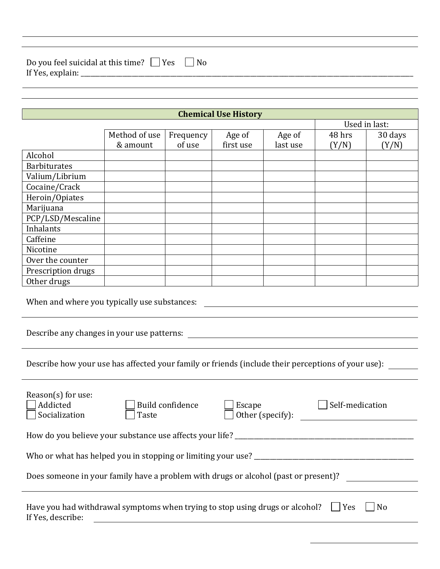| Do you feel suicidal at this time? $\Box$ Yes $\Box$ No<br>If Yes, explain: ____ |
|----------------------------------------------------------------------------------|
|----------------------------------------------------------------------------------|

|                                              |               |           | <b>Chemical Use History</b> |          |        |               |
|----------------------------------------------|---------------|-----------|-----------------------------|----------|--------|---------------|
|                                              |               |           |                             |          |        | Used in last: |
|                                              | Method of use | Frequency | Age of                      | Age of   | 48 hrs | 30 days       |
|                                              | & amount      | of use    | first use                   | last use | (Y/N)  | (Y/N)         |
| Alcohol                                      |               |           |                             |          |        |               |
| <b>Barbiturates</b>                          |               |           |                             |          |        |               |
| Valium/Librium                               |               |           |                             |          |        |               |
| Cocaine/Crack                                |               |           |                             |          |        |               |
| Heroin/Opiates                               |               |           |                             |          |        |               |
| Marijuana                                    |               |           |                             |          |        |               |
| PCP/LSD/Mescaline                            |               |           |                             |          |        |               |
| Inhalants                                    |               |           |                             |          |        |               |
| Caffeine                                     |               |           |                             |          |        |               |
| Nicotine                                     |               |           |                             |          |        |               |
| Over the counter                             |               |           |                             |          |        |               |
| Prescription drugs                           |               |           |                             |          |        |               |
| Other drugs                                  |               |           |                             |          |        |               |
| When and where you typically use substances: |               |           |                             |          |        |               |
| Describe any changes in your use patterns:   |               |           |                             |          |        |               |

Describe how your use has affected your family or friends (include their perceptions of your use): \_\_\_\_\_\_

| $Reason(s)$ for use:<br>Addicted<br>Socialization | Build confidence<br>Taste                                                           | Escape<br>Other (specify): | Self-medication |
|---------------------------------------------------|-------------------------------------------------------------------------------------|----------------------------|-----------------|
|                                                   | How do you believe your substance use affects your life?                            |                            |                 |
|                                                   | Who or what has helped you in stopping or limiting your use?                        |                            |                 |
|                                                   | Does someone in your family have a problem with drugs or alcohol (past or present)? |                            |                 |
|                                                   |                                                                                     |                            |                 |
| If Yes, describe:                                 | Have you had withdrawal symptoms when trying to stop using drugs or alcohol?        |                            | Yes<br>No       |
|                                                   |                                                                                     |                            |                 |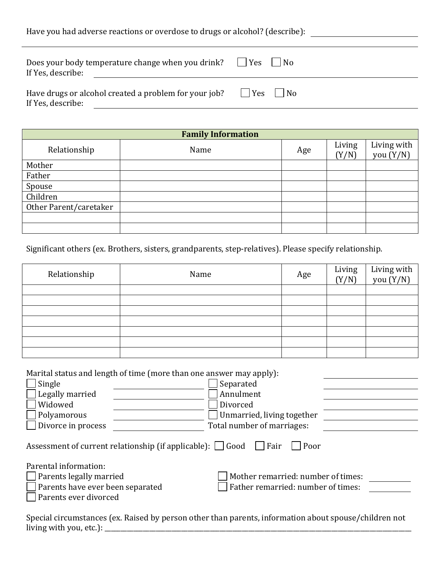| Have you had adverse reactions or overdose to drugs or alcohol? (describe): |                  |
|-----------------------------------------------------------------------------|------------------|
| Does your body temperature change when you drink?<br>If Yes, describe:      | $ $   Yes     No |
| Have drugs or alcohol created a problem for your job?<br>If Yes, describe:  | $ $   Yes     No |

| <b>Family Information</b> |      |     |                 |                            |
|---------------------------|------|-----|-----------------|----------------------------|
| Relationship              | Name | Age | Living<br>(Y/N) | Living with<br>you $(Y/N)$ |
| Mother                    |      |     |                 |                            |
| Father                    |      |     |                 |                            |
| Spouse                    |      |     |                 |                            |
| Children                  |      |     |                 |                            |
| Other Parent/caretaker    |      |     |                 |                            |
|                           |      |     |                 |                            |
|                           |      |     |                 |                            |

Significant others (ex. Brothers, sisters, grandparents, step-relatives). Please specify relationship.

| Relationship | Name | Age | Living<br>(Y/N) | Living with<br>you (Y/N) |
|--------------|------|-----|-----------------|--------------------------|
|              |      |     |                 |                          |
|              |      |     |                 |                          |
|              |      |     |                 |                          |
|              |      |     |                 |                          |
|              |      |     |                 |                          |
|              |      |     |                 |                          |
|              |      |     |                 |                          |

Marital status and length of time (more than one answer may apply):

| Single                           | Separated                                                                               |  |
|----------------------------------|-----------------------------------------------------------------------------------------|--|
| Legally married                  | Annulment                                                                               |  |
| Widowed                          | Divorced                                                                                |  |
| Polyamorous                      | Unmarried, living together                                                              |  |
| Divorce in process               | Total number of marriages:                                                              |  |
|                                  | Assessment of current relationship (if applicable): $\Box$ Good $\Box$ Fair<br>$ $ Poor |  |
| Parental information:            |                                                                                         |  |
| Parents legally married          | Mother remarried: number of times:                                                      |  |
| Parents have ever been separated | Father remarried: number of times:                                                      |  |
| Parents ever divorced            |                                                                                         |  |

Special circumstances (ex. Raised by person other than parents, information about spouse/children not living with you, etc.): \_\_\_\_\_\_\_\_\_\_\_\_\_\_\_\_\_\_\_\_\_\_\_\_\_\_\_\_\_\_\_\_\_\_\_\_\_\_\_\_\_\_\_\_\_\_\_\_\_\_\_\_\_\_\_\_\_\_\_\_\_\_\_\_\_\_\_\_\_\_\_\_\_\_\_\_\_\_\_\_\_\_\_\_\_\_\_\_\_\_\_\_\_\_\_\_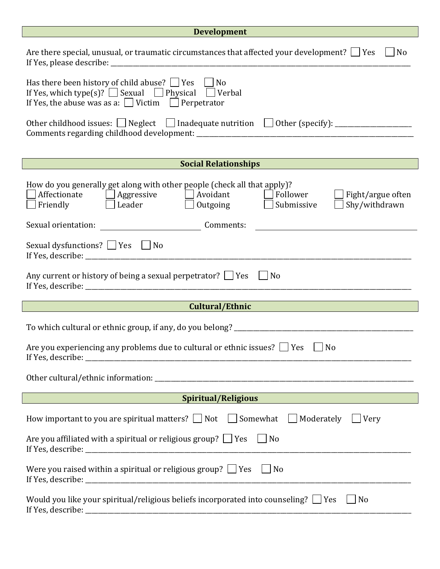# **Development**

 $\Box$ 

| Development                                                                                                                                                                                                                                                                                                                                                       |  |  |  |
|-------------------------------------------------------------------------------------------------------------------------------------------------------------------------------------------------------------------------------------------------------------------------------------------------------------------------------------------------------------------|--|--|--|
| Are there special, unusual, or traumatic circumstances that affected your development? $\Box$ Yes<br>N <sub>o</sub>                                                                                                                                                                                                                                               |  |  |  |
| Has there been history of child abuse? $\Box$ Yes $\Box$ No<br>If Yes, which type(s)? $\Box$ Sexual $\Box$ Physical $\Box$ Verbal<br>If Yes, the abuse was as a: $\Box$ Victim $\Box$ Perpetrator                                                                                                                                                                 |  |  |  |
|                                                                                                                                                                                                                                                                                                                                                                   |  |  |  |
| <b>Social Relationships</b><br><u> 1990 - Jan Barat, martin a</u>                                                                                                                                                                                                                                                                                                 |  |  |  |
| How do you generally get along with other people (check all that apply)?<br>Affectionate Affectionate Affectionate<br>$\Box$ Follower<br>$\Box$ Fight/argue often<br>$\overline{\phantom{a}}$ Leader $\overline{\phantom{a}}$ Outgoing<br>Shy/withdrawn<br>Friendly<br>Submissive<br>Sexual orientation:<br>Comments:                                             |  |  |  |
| <u> 1989 - Jan Samuel Barbara, margaret e</u>                                                                                                                                                                                                                                                                                                                     |  |  |  |
| Sexual dysfunctions? $\Box$ Yes $\Box$ No                                                                                                                                                                                                                                                                                                                         |  |  |  |
| Any current or history of being a sexual perpetrator? $\Box$ Yes<br>N <sub>0</sub>                                                                                                                                                                                                                                                                                |  |  |  |
| Cultural/Ethnic<br><u> 1989 - Johann Barn, mars ar y</u> brening ar y brening ar y brening ar y brening ar y brening ar y brening ar y b                                                                                                                                                                                                                          |  |  |  |
|                                                                                                                                                                                                                                                                                                                                                                   |  |  |  |
| Are you experiencing any problems due to cultural or ethnic issues? $\Box$ Yes<br>No<br>If Yes, describe: _<br><u> 1989 - Andrea Station (b. 1989)</u>                                                                                                                                                                                                            |  |  |  |
|                                                                                                                                                                                                                                                                                                                                                                   |  |  |  |
| Spiritual/Religious and the contract of the contract of the contract of the contract of the contract of the contract of the contract of the contract of the contract of the contract of the contract of the contract of the co<br>$\mathcal{L}^{\text{max}}_{\text{max}}$ and $\mathcal{L}^{\text{max}}_{\text{max}}$ and $\mathcal{L}^{\text{max}}_{\text{max}}$ |  |  |  |
| How important to you are spiritual matters? $\Box$ Not $\Box$ Somewhat<br>Moderately<br>Very                                                                                                                                                                                                                                                                      |  |  |  |
| Are you affiliated with a spiritual or religious group? $\Box$ Yes $\Box$ No                                                                                                                                                                                                                                                                                      |  |  |  |
| Were you raised within a spiritual or religious group? $\Box$ Yes<br>N <sub>o</sub>                                                                                                                                                                                                                                                                               |  |  |  |
| Would you like your spiritual/religious beliefs incorporated into counseling? $\Box$ Yes<br>$ $ No                                                                                                                                                                                                                                                                |  |  |  |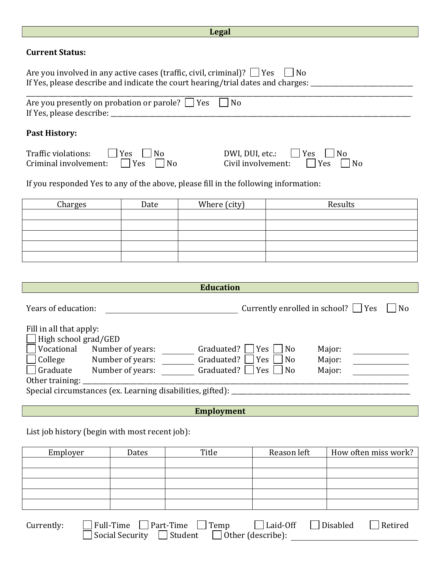|                                                                                                                                                                                              |                                                | Legal             |                                              |                      |  |
|----------------------------------------------------------------------------------------------------------------------------------------------------------------------------------------------|------------------------------------------------|-------------------|----------------------------------------------|----------------------|--|
| <b>Current Status:</b>                                                                                                                                                                       |                                                |                   |                                              |                      |  |
| Are you involved in any active cases (traffic, civil, criminal)? $\Box$ Yes<br>If Yes, please describe and indicate the court hearing/trial dates and charges: _____________________________ |                                                |                   | N <sub>0</sub>                               |                      |  |
| Are you presently on probation or parole? $\Box$ Yes                                                                                                                                         |                                                | No                |                                              |                      |  |
| <b>Past History:</b>                                                                                                                                                                         |                                                |                   |                                              |                      |  |
| Traffic violations:<br>Criminal involvement:                                                                                                                                                 | Yes<br>N <sub>0</sub><br>Yes<br>N <sub>o</sub> | DWI, DUI, etc.:   | Yes<br>Civil involvement:<br>Yes             | N <sub>0</sub><br>No |  |
| If you responded Yes to any of the above, please fill in the following information:                                                                                                          |                                                |                   |                                              |                      |  |
| Charges                                                                                                                                                                                      | Date                                           | Where (city)      |                                              | Results              |  |
|                                                                                                                                                                                              |                                                |                   |                                              |                      |  |
|                                                                                                                                                                                              |                                                |                   |                                              |                      |  |
|                                                                                                                                                                                              |                                                |                   |                                              |                      |  |
|                                                                                                                                                                                              |                                                |                   |                                              |                      |  |
|                                                                                                                                                                                              |                                                |                   |                                              |                      |  |
|                                                                                                                                                                                              |                                                | <b>Education</b>  |                                              |                      |  |
| Years of education:                                                                                                                                                                          |                                                |                   | Currently enrolled in school? $\Box$ Yes     | N <sub>0</sub>       |  |
| Fill in all that apply:<br>High school grad/GED<br>Vocational Number of years:                                                                                                               |                                                |                   |                                              |                      |  |
| College                                                                                                                                                                                      | Number of years:                               | Graduated?        | Graduated? $\Box$ Yes $\Box$ No<br>Yes<br>No | Major:<br>Major:     |  |
| Graduate<br>Number of years:<br>Graduated?<br><b>Yes</b><br>N <sub>o</sub><br>Major:                                                                                                         |                                                |                   |                                              |                      |  |
| Other training:                                                                                                                                                                              |                                                |                   |                                              |                      |  |
|                                                                                                                                                                                              |                                                |                   |                                              |                      |  |
|                                                                                                                                                                                              |                                                | <b>Employment</b> |                                              |                      |  |
| List job history (begin with most recent job):                                                                                                                                               |                                                |                   |                                              |                      |  |
| Employer                                                                                                                                                                                     | Dates                                          | Title             | Reason left                                  | How often miss work? |  |
|                                                                                                                                                                                              |                                                |                   |                                              |                      |  |
|                                                                                                                                                                                              |                                                |                   |                                              |                      |  |
|                                                                                                                                                                                              |                                                |                   |                                              |                      |  |

| Currently: | $\Box$ Full-Time $\Box$ Part-Time $\Box$ Temp                  | $\Box$ Laid-Off $\Box$ Disabled | $\Box$ Retired |
|------------|----------------------------------------------------------------|---------------------------------|----------------|
|            |                                                                |                                 |                |
|            | $\Box$ Social Security $\Box$ Student $\Box$ Other (describe): |                                 |                |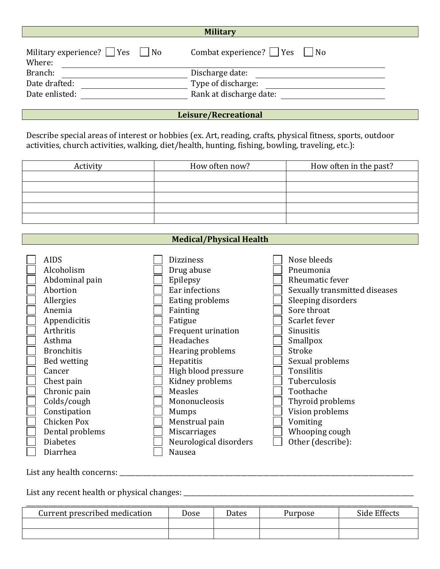| <b>Military</b> |
|-----------------|
|                 |

| Combat experience? $\Box$ Yes $\Box$ No |
|-----------------------------------------|
|                                         |
| Discharge date:                         |
| Type of discharge:                      |
| Rank at discharge date:                 |
|                                         |

### **Leisure/Recreational**

Describe special areas of interest or hobbies (ex. Art, reading, crafts, physical fitness, sports, outdoor activities, church activities, walking, diet/health, hunting, fishing, bowling, traveling, etc.):

| Activity | How often now? | How often in the past? |
|----------|----------------|------------------------|
|          |                |                        |
|          |                |                        |
|          |                |                        |
|          |                |                        |
|          |                |                        |

# **Medical/Physical Health**

| <b>AIDS</b>       | <b>Dizziness</b>       | Nose bleeds                   |
|-------------------|------------------------|-------------------------------|
| Alcoholism        | Drug abuse             | Pneumonia                     |
| Abdominal pain    | Epilepsy               | Rheumatic fever               |
| Abortion          | Ear infections         | Sexually transmitted diseases |
| Allergies         | Eating problems        | Sleeping disorders            |
| Anemia            | Fainting               | Sore throat                   |
| Appendicitis      | Fatigue                | Scarlet fever                 |
| Arthritis         | Frequent urination     | Sinusitis                     |
| Asthma            | Headaches              | Smallpox                      |
| <b>Bronchitis</b> | Hearing problems       | Stroke                        |
| Bed wetting       | Hepatitis              | Sexual problems               |
| Cancer            | High blood pressure    | Tonsilitis                    |
| Chest pain        | Kidney problems        | Tuberculosis                  |
| Chronic pain      | Measles                | Toothache                     |
| Colds/cough       | Mononucleosis          | Thyroid problems              |
| Constipation      | Mumps                  | Vision problems               |
| Chicken Pox       | Menstrual pain         | Vomiting                      |
| Dental problems   | <b>Miscarriages</b>    | Whooping cough                |
| <b>Diabetes</b>   | Neurological disorders | Other (describe):             |
| Diarrhea          | Nausea                 |                               |

List any health concerns: \_\_\_\_\_\_\_\_\_\_\_\_\_\_\_\_\_\_\_\_\_\_\_\_\_\_\_\_\_\_\_\_\_\_\_\_\_\_\_\_\_\_\_\_\_\_\_\_\_\_\_\_\_\_\_\_\_\_\_\_\_\_\_\_\_\_\_\_\_\_\_\_\_\_\_\_\_\_\_\_\_\_\_\_\_\_\_\_\_\_\_\_

List any recent health or physical changes: \_\_\_\_\_\_\_\_\_\_\_\_\_\_\_\_\_\_\_\_\_\_\_\_\_\_\_\_\_\_\_\_\_\_\_\_\_\_\_\_\_\_\_\_\_\_\_\_\_\_\_\_\_\_\_\_\_\_\_\_\_\_\_\_\_\_\_\_\_\_\_\_

| Current prescribed medication | Dose | Dates | Purpose | Side Effects |
|-------------------------------|------|-------|---------|--------------|
|                               |      |       |         |              |
|                               |      |       |         |              |